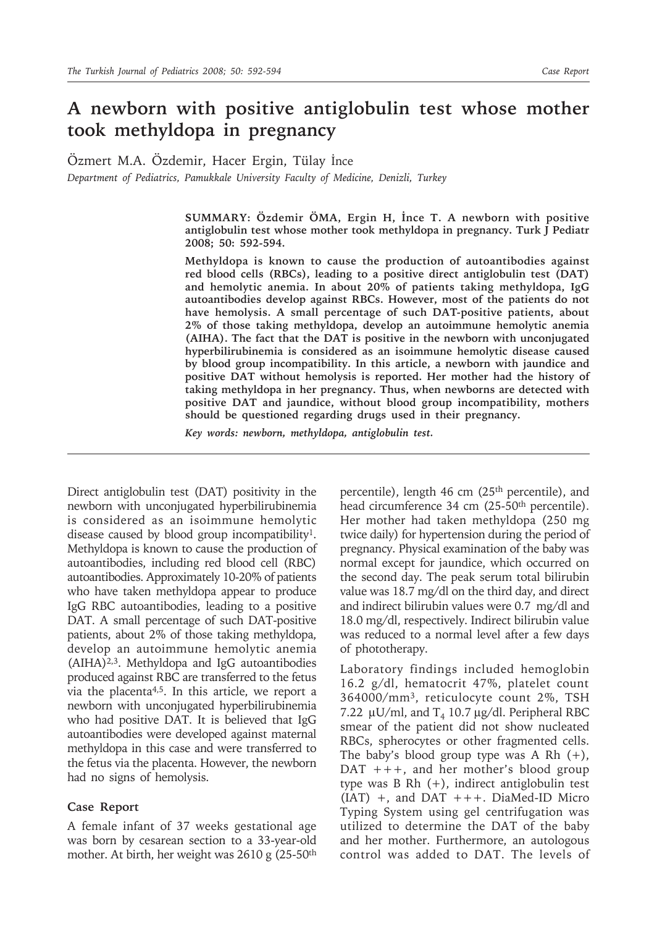## **A newborn with positive antiglobulin test whose mother took methyldopa in pregnancy**

Özmert M.A. Özdemir, Hacer Ergin, Tülay İnce

*Department of Pediatrics, Pamukkale University Faculty of Medicine, Denizli, Turkey*

**SUMMARY: Özdemir ÖMA, Ergin H, İnce T. A newborn with positive antiglobulin test whose mother took methyldopa in pregnancy. Turk J Pediatr 2008; 50: 592-594.**

**Methyldopa is known to cause the production of autoantibodies against red blood cells (RBCs), leading to a positive direct antiglobulin test (DAT) and hemolytic anemia. In about 20% of patients taking methyldopa, IgG autoantibodies develop against RBCs. However, most of the patients do not have hemolysis. A small percentage of such DAT-positive patients, about 2% of those taking methyldopa, develop an autoimmune hemolytic anemia (AIHA). The fact that the DAT is positive in the newborn with unconjugated hyperbilirubinemia is considered as an isoimmune hemolytic disease caused by blood group incompatibility. In this article, a newborn with jaundice and positive DAT without hemolysis is reported. Her mother had the history of taking methyldopa in her pregnancy. Thus, when newborns are detected with positive DAT and jaundice, without blood group incompatibility, mothers should be questioned regarding drugs used in their pregnancy.**

*Key words: newborn, methyldopa, antiglobulin test.*

Direct antiglobulin test (DAT) positivity in the newborn with unconjugated hyperbilirubinemia is considered as an isoimmune hemolytic disease caused by blood group incompatibility1. Methyldopa is known to cause the production of autoantibodies, including red blood cell (RBC) autoantibodies. Approximately 10-20% of patients who have taken methyldopa appear to produce IgG RBC autoantibodies, leading to a positive DAT. A small percentage of such DAT-positive patients, about 2% of those taking methyldopa, develop an autoimmune hemolytic anemia (AIHA)2,3. Methyldopa and IgG autoantibodies produced against RBC are transferred to the fetus via the placenta4,5. In this article, we report a newborn with unconjugated hyperbilirubinemia who had positive DAT. It is believed that IgG autoantibodies were developed against maternal methyldopa in this case and were transferred to the fetus via the placenta. However, the newborn had no signs of hemolysis.

## **Case Report**

A female infant of 37 weeks gestational age was born by cesarean section to a 33-year-old mother. At birth, her weight was 2610 g (25-50th

percentile), length 46 cm (25<sup>th</sup> percentile), and head circumference 34 cm (25-50th percentile). Her mother had taken methyldopa (250 mg twice daily) for hypertension during the period of pregnancy. Physical examination of the baby was normal except for jaundice, which occurred on the second day. The peak serum total bilirubin value was 18.7 mg/dl on the third day, and direct and indirect bilirubin values were 0.7 mg/dl and 18.0 mg/dl, respectively. Indirect bilirubin value was reduced to a normal level after a few days of phototherapy.

Laboratory findings included hemoglobin 16.2 g/dl, hematocrit 47%, platelet count 364000/mm3, reticulocyte count 2%, TSH 7.22  $\mu$ U/ml, and T<sub>4</sub> 10.7  $\mu$ g/dl. Peripheral RBC smear of the patient did not show nucleated RBCs, spherocytes or other fragmented cells. The baby's blood group type was A Rh  $(+)$ , DAT +++, and her mother's blood group type was B Rh (+), indirect antiglobulin test  $(IAT)$  +, and DAT +++. DiaMed-ID Micro Typing System using gel centrifugation was utilized to determine the DAT of the baby and her mother. Furthermore, an autologous control was added to DAT. The levels of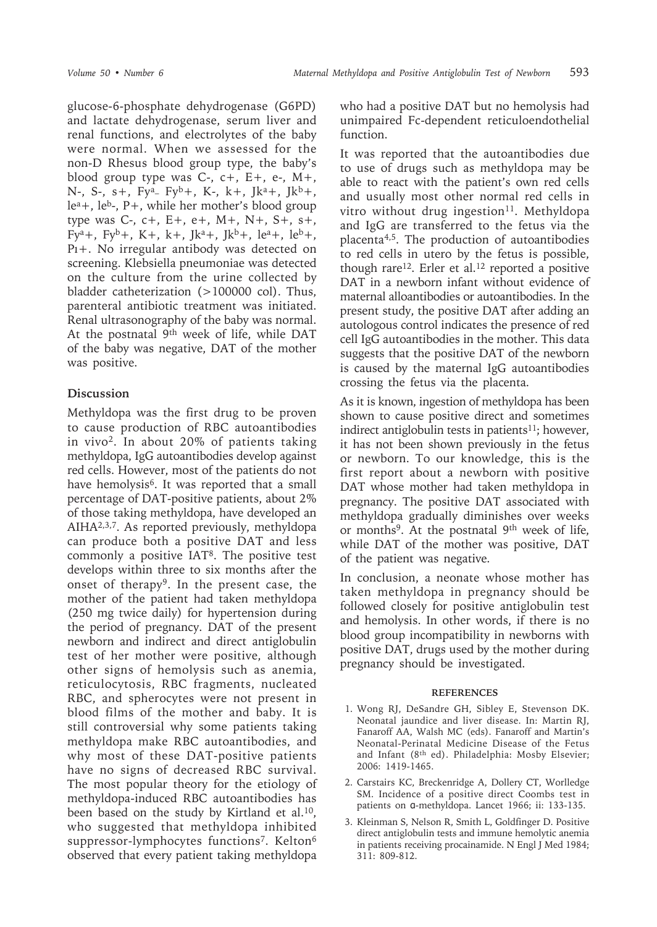glucose-6-phosphate dehydrogenase (G6PD) and lactate dehydrogenase, serum liver and renal functions, and electrolytes of the baby were normal. When we assessed for the non-D Rhesus blood group type, the baby's blood group type was  $C_7$ ,  $c_7$ ,  $E_7$ ,  $e_7$ ,  $M_7$ , N-, S-, s+, Fy<sup>a</sup>- Fy<sup>b</sup>+, K-, k+, Jk<sup>a</sup>+, Jk<sup>b</sup>+, lea+, leb-, P+, while her mother's blood group type was C-, c+, E+, e+, M+, N+, S+, s+,  $Fy^a$ +, Fy<sup>b</sup>+, K+, k+, Jk<sup>a</sup>+, Jk<sup>b</sup>+, le<sup>a</sup>+, le<sup>b</sup>+, Pı+. No irregular antibody was detected on screening. Klebsiella pneumoniae was detected on the culture from the urine collected by bladder catheterization (>100000 col). Thus, parenteral antibiotic treatment was initiated. Renal ultrasonography of the baby was normal. At the postnatal 9th week of life, while DAT of the baby was negative, DAT of the mother was positive.

## **Discussion**

Methyldopa was the first drug to be proven to cause production of RBC autoantibodies in vivo2. In about 20% of patients taking methyldopa, IgG autoantibodies develop against red cells. However, most of the patients do not have hemolysis<sup>6</sup>. It was reported that a small percentage of DAT-positive patients, about 2% of those taking methyldopa, have developed an AIHA2,3,7. As reported previously, methyldopa can produce both a positive DAT and less commonly a positive IAT8. The positive test develops within three to six months after the onset of therapy<sup>9</sup>. In the present case, the mother of the patient had taken methyldopa (250 mg twice daily) for hypertension during the period of pregnancy. DAT of the present newborn and indirect and direct antiglobulin test of her mother were positive, although other signs of hemolysis such as anemia, reticulocytosis, RBC fragments, nucleated RBC, and spherocytes were not present in blood films of the mother and baby. It is still controversial why some patients taking methyldopa make RBC autoantibodies, and why most of these DAT-positive patients have no signs of decreased RBC survival. The most popular theory for the etiology of methyldopa-induced RBC autoantibodies has been based on the study by Kirtland et al.<sup>10</sup>, who suggested that methyldopa inhibited suppressor-lymphocytes functions<sup>7</sup>. Kelton<sup>6</sup> observed that every patient taking methyldopa

who had a positive DAT but no hemolysis had unimpaired Fc-dependent reticuloendothelial function.

It was reported that the autoantibodies due to use of drugs such as methyldopa may be able to react with the patient's own red cells and usually most other normal red cells in vitro without drug ingestion<sup>11</sup>. Methyldopa and IgG are transferred to the fetus via the placenta4,5. The production of autoantibodies to red cells in utero by the fetus is possible, though rare<sup>12</sup>. Erler et al.<sup>12</sup> reported a positive DAT in a newborn infant without evidence of maternal alloantibodies or autoantibodies. In the present study, the positive DAT after adding an autologous control indicates the presence of red cell IgG autoantibodies in the mother. This data suggests that the positive DAT of the newborn is caused by the maternal IgG autoantibodies crossing the fetus via the placenta.

As it is known, ingestion of methyldopa has been shown to cause positive direct and sometimes indirect antiglobulin tests in patients<sup>11</sup>; however, it has not been shown previously in the fetus or newborn. To our knowledge, this is the first report about a newborn with positive DAT whose mother had taken methyldopa in pregnancy. The positive DAT associated with methyldopa gradually diminishes over weeks or months<sup>9</sup>. At the postnatal 9<sup>th</sup> week of life, while DAT of the mother was positive, DAT of the patient was negative.

In conclusion, a neonate whose mother has taken methyldopa in pregnancy should be followed closely for positive antiglobulin test and hemolysis. In other words, if there is no blood group incompatibility in newborns with positive DAT, drugs used by the mother during pregnancy should be investigated.

## **REFERENCES**

- 1. Wong RJ, DeSandre GH, Sibley E, Stevenson DK. Neonatal jaundice and liver disease. In: Martin RJ, Fanaroff AA, Walsh MC (eds). Fanaroff and Martin's Neonatal-Perinatal Medicine Disease of the Fetus and Infant (8th ed). Philadelphia: Mosby Elsevier; 2006: 1419-1465.
- 2. Carstairs KC, Breckenridge A, Dollery CT, Worlledge SM. Incidence of a positive direct Coombs test in patients on α-methyldopa. Lancet 1966; ii: 133-135.
- 3. Kleinman S, Nelson R, Smith L, Goldfinger D. Positive direct antiglobulin tests and immune hemolytic anemia in patients receiving procainamide. N Engl J Med 1984; 311: 809-812.